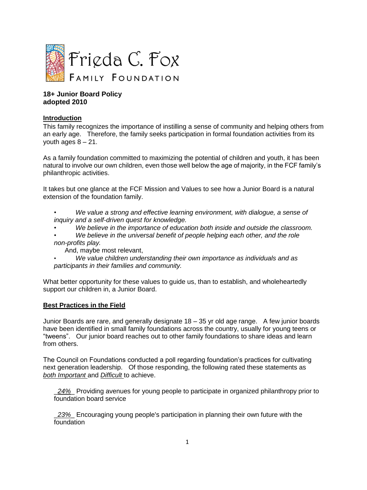

#### **18+ Junior Board Policy adopted 2010**

### **Introduction**

This family recognizes the importance of instilling a sense of community and helping others from an early age. Therefore, the family seeks participation in formal foundation activities from its youth ages  $8 - 21$ .

As a family foundation committed to maximizing the potential of children and youth, it has been natural to involve our own children, even those well below the age of majority, in the FCF family's philanthropic activities.

It takes but one glance at the FCF Mission and Values to see how a Junior Board is a natural extension of the foundation family.

- *We value a strong and effective learning environment, with dialogue, a sense of inquiry and a self-driven quest for knowledge.*
- *We believe in the importance of education both inside and outside the classroom.*
- *We believe in the universal benefit of people helping each other, and the role non-profits play.*

And, maybe most relevant,

• *We value children understanding their own importance as individuals and as participants in their families and community.* 

What better opportunity for these values to guide us, than to establish, and wholeheartedly support our children in, a Junior Board.

#### **Best Practices in the Field**

Junior Boards are rare, and generally designate 18 – 35 yr old age range. A few junior boards have been identified in small family foundations across the country, usually for young teens or "tweens". Our junior board reaches out to other family foundations to share ideas and learn from others.

The Council on Foundations conducted a poll regarding foundation's practices for cultivating next generation leadership. Of those responding, the following rated these statements as *both Important* and *Difficult* to achieve.

\_*24%*\_ Providing avenues for young people to participate in organized philanthropy prior to foundation board service

\_*23%*\_ Encouraging young people's participation in planning their own future with the foundation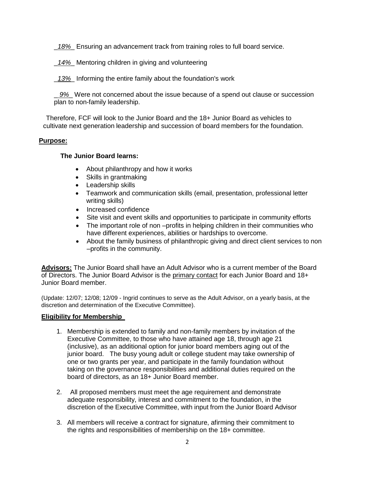\_*18%*\_ Ensuring an advancement track from training roles to full board service.

\_*14%*\_ Mentoring children in giving and volunteering

\_*13%*\_ Informing the entire family about the foundation's work

\_ *9%*\_ Were not concerned about the issue because of a spend out clause or succession plan to non-family leadership.

Therefore, FCF will look to the Junior Board and the 18+ Junior Board as vehicles to cultivate next generation leadership and succession of board members for the foundation.

## **Purpose:**

#### **The Junior Board learns:**

- About philanthropy and how it works
- Skills in grantmaking
- Leadership skills
- Teamwork and communication skills (email, presentation, professional letter writing skills)
- Increased confidence
- Site visit and event skills and opportunities to participate in community efforts
- The important role of non –profits in helping children in their communities who have different experiences, abilities or hardships to overcome.
- About the family business of philanthropic giving and direct client services to non –profits in the community.

**Advisors:** The Junior Board shall have an Adult Advisor who is a current member of the Board of Directors. The Junior Board Advisor is the primary contact for each Junior Board and 18+ Junior Board member.

(Update: 12/07; 12/08; 12/09 - Ingrid continues to serve as the Adult Advisor, on a yearly basis, at the discretion and determination of the Executive Committee).

#### **Eligibility for Membership**

- 1. Membership is extended to family and non-family members by invitation of the Executive Committee, to those who have attained age 18, through age 21 (inclusive), as an additional option for junior board members aging out of the junior board. The busy young adult or college student may take ownership of one or two grants per year, and participate in the family foundation without taking on the governance responsibilities and additional duties required on the board of directors, as an 18+ Junior Board member.
- 2. All proposed members must meet the age requirement and demonstrate adequate responsibility, interest and commitment to the foundation, in the discretion of the Executive Committee, with input from the Junior Board Advisor
- 3. All members will receive a contract for signature, afirming their commitment to the rights and responsibilities of membership on the 18+ committee.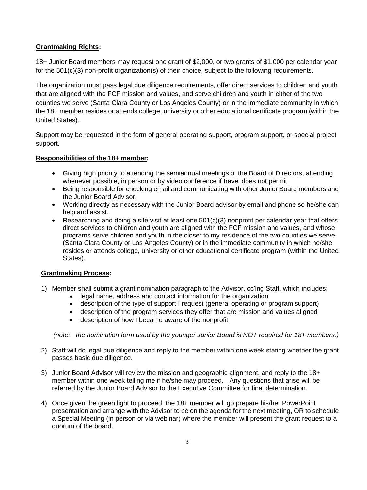# **Grantmaking Rights:**

18+ Junior Board members may request one grant of \$2,000, or two grants of \$1,000 per calendar year for the 501(c)(3) non-profit organization(s) of their choice, subject to the following requirements.

The organization must pass legal due diligence requirements, offer direct services to children and youth that are aligned with the FCF mission and values, and serve children and youth in either of the two counties we serve (Santa Clara County or Los Angeles County) or in the immediate community in which the 18+ member resides or attends college, university or other educational certificate program (within the United States).

Support may be requested in the form of general operating support, program support, or special project support.

## **Responsibilities of the 18+ member:**

- Giving high priority to attending the semiannual meetings of the Board of Directors, attending whenever possible, in person or by video conference if travel does not permit.
- Being responsible for checking email and communicating with other Junior Board members and the Junior Board Advisor.
- Working directly as necessary with the Junior Board advisor by email and phone so he/she can help and assist.
- Researching and doing a site visit at least one 501(c)(3) nonprofit per calendar year that offers direct services to children and youth are aligned with the FCF mission and values, and whose programs serve children and youth in the closer to my residence of the two counties we serve (Santa Clara County or Los Angeles County) or in the immediate community in which he/she resides or attends college, university or other educational certificate program (within the United States).

#### **Grantmaking Process:**

- 1) Member shall submit a grant nomination paragraph to the Advisor, cc'ing Staff, which includes:
	- legal name, address and contact information for the organization
	- description of the type of support I request (general operating or program support)
	- description of the program services they offer that are mission and values aligned
	- description of how I became aware of the nonprofit

 *(note: the nomination form used by the younger Junior Board is NOT required for 18+ members.)*

- 2) Staff will do legal due diligence and reply to the member within one week stating whether the grant passes basic due diligence.
- 3) Junior Board Advisor will review the mission and geographic alignment, and reply to the 18+ member within one week telling me if he/she may proceed. Any questions that arise will be referred by the Junior Board Advisor to the Executive Committee for final determination.
- 4) Once given the green light to proceed, the 18+ member will go prepare his/her PowerPoint presentation and arrange with the Advisor to be on the agenda for the next meeting, OR to schedule a Special Meeting (in person or via webinar) where the member will present the grant request to a quorum of the board.